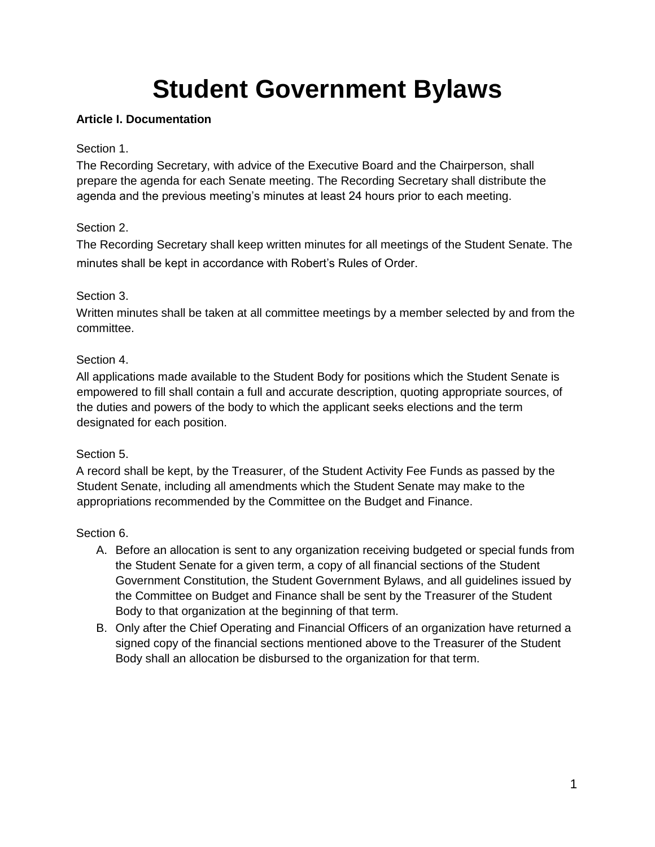# **Student Government Bylaws**

## **Article I. Documentation**

## Section 1.

The Recording Secretary, with advice of the Executive Board and the Chairperson, shall prepare the agenda for each Senate meeting. The Recording Secretary shall distribute the agenda and the previous meeting's minutes at least 24 hours prior to each meeting.

# Section 2.

The Recording Secretary shall keep written minutes for all meetings of the Student Senate. The minutes shall be kept in accordance with Robert's Rules of Order.

## Section 3.

Written minutes shall be taken at all committee meetings by a member selected by and from the committee.

## Section 4.

All applications made available to the Student Body for positions which the Student Senate is empowered to fill shall contain a full and accurate description, quoting appropriate sources, of the duties and powers of the body to which the applicant seeks elections and the term designated for each position.

#### Section 5.

A record shall be kept, by the Treasurer, of the Student Activity Fee Funds as passed by the Student Senate, including all amendments which the Student Senate may make to the appropriations recommended by the Committee on the Budget and Finance.

# Section 6.

- A. Before an allocation is sent to any organization receiving budgeted or special funds from the Student Senate for a given term, a copy of all financial sections of the Student Government Constitution, the Student Government Bylaws, and all guidelines issued by the Committee on Budget and Finance shall be sent by the Treasurer of the Student Body to that organization at the beginning of that term.
- B. Only after the Chief Operating and Financial Officers of an organization have returned a signed copy of the financial sections mentioned above to the Treasurer of the Student Body shall an allocation be disbursed to the organization for that term.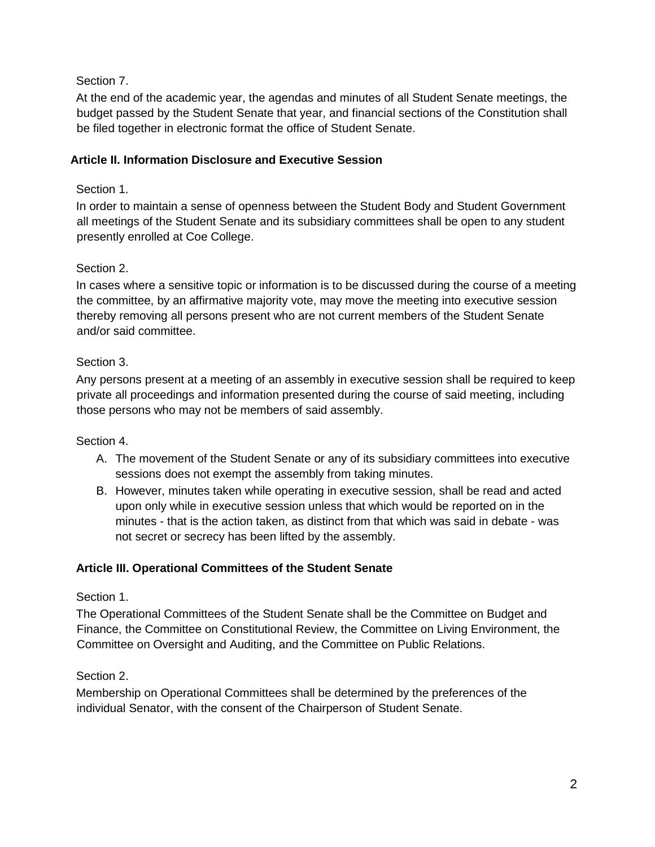## Section 7.

At the end of the academic year, the agendas and minutes of all Student Senate meetings, the budget passed by the Student Senate that year, and financial sections of the Constitution shall be filed together in electronic format the office of Student Senate.

## **Article II. Information Disclosure and Executive Session**

## Section 1.

In order to maintain a sense of openness between the Student Body and Student Government all meetings of the Student Senate and its subsidiary committees shall be open to any student presently enrolled at Coe College.

## Section 2.

In cases where a sensitive topic or information is to be discussed during the course of a meeting the committee, by an affirmative majority vote, may move the meeting into executive session thereby removing all persons present who are not current members of the Student Senate and/or said committee.

## Section 3.

Any persons present at a meeting of an assembly in executive session shall be required to keep private all proceedings and information presented during the course of said meeting, including those persons who may not be members of said assembly.

#### Section 4.

- A. The movement of the Student Senate or any of its subsidiary committees into executive sessions does not exempt the assembly from taking minutes.
- B. However, minutes taken while operating in executive session, shall be read and acted upon only while in executive session unless that which would be reported on in the minutes - that is the action taken, as distinct from that which was said in debate - was not secret or secrecy has been lifted by the assembly.

# **Article III. Operational Committees of the Student Senate**

Section 1.

The Operational Committees of the Student Senate shall be the Committee on Budget and Finance, the Committee on Constitutional Review, the Committee on Living Environment, the Committee on Oversight and Auditing, and the Committee on Public Relations.

# Section 2.

Membership on Operational Committees shall be determined by the preferences of the individual Senator, with the consent of the Chairperson of Student Senate.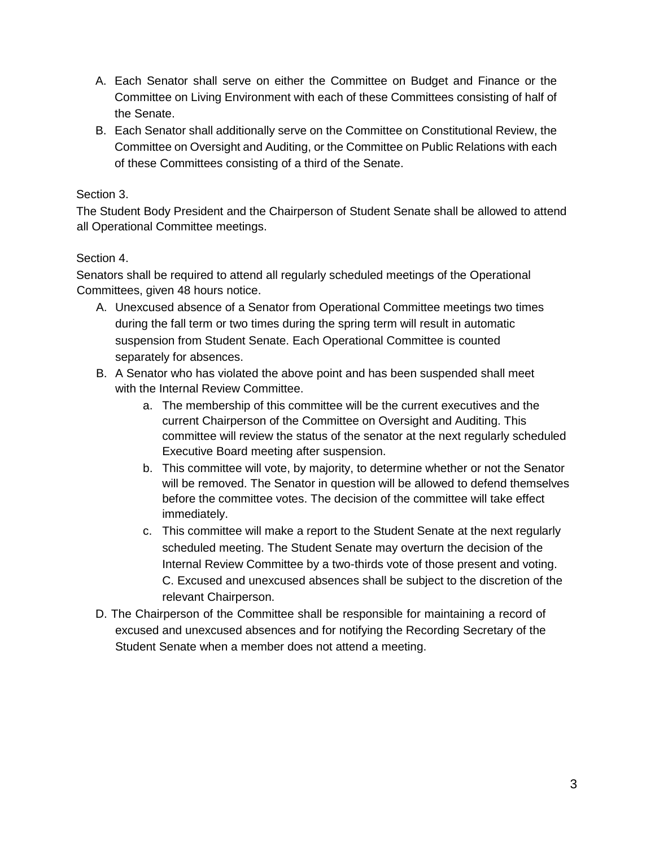- A. Each Senator shall serve on either the Committee on Budget and Finance or the Committee on Living Environment with each of these Committees consisting of half of the Senate.
- B. Each Senator shall additionally serve on the Committee on Constitutional Review, the Committee on Oversight and Auditing, or the Committee on Public Relations with each of these Committees consisting of a third of the Senate.

#### Section 3.

The Student Body President and the Chairperson of Student Senate shall be allowed to attend all Operational Committee meetings.

#### Section 4.

Senators shall be required to attend all regularly scheduled meetings of the Operational Committees, given 48 hours notice.

- A. Unexcused absence of a Senator from Operational Committee meetings two times during the fall term or two times during the spring term will result in automatic suspension from Student Senate. Each Operational Committee is counted separately for absences.
- B. A Senator who has violated the above point and has been suspended shall meet with the Internal Review Committee.
	- a. The membership of this committee will be the current executives and the current Chairperson of the Committee on Oversight and Auditing. This committee will review the status of the senator at the next regularly scheduled Executive Board meeting after suspension.
	- b. This committee will vote, by majority, to determine whether or not the Senator will be removed. The Senator in question will be allowed to defend themselves before the committee votes. The decision of the committee will take effect immediately.
	- c. This committee will make a report to the Student Senate at the next regularly scheduled meeting. The Student Senate may overturn the decision of the Internal Review Committee by a two-thirds vote of those present and voting. C. Excused and unexcused absences shall be subject to the discretion of the relevant Chairperson.
- D. The Chairperson of the Committee shall be responsible for maintaining a record of excused and unexcused absences and for notifying the Recording Secretary of the Student Senate when a member does not attend a meeting.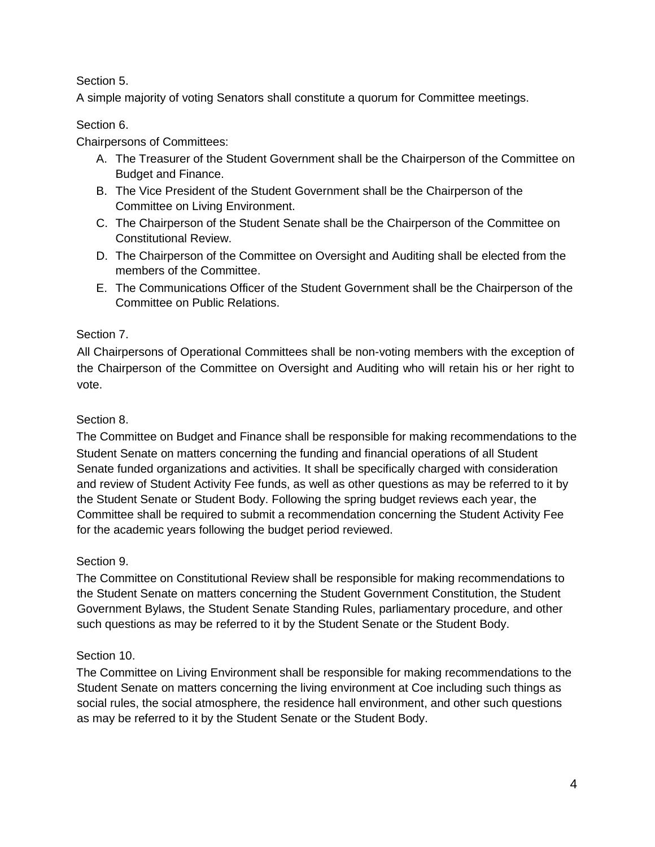A simple majority of voting Senators shall constitute a quorum for Committee meetings.

# Section 6.

Chairpersons of Committees:

- A. The Treasurer of the Student Government shall be the Chairperson of the Committee on Budget and Finance.
- B. The Vice President of the Student Government shall be the Chairperson of the Committee on Living Environment.
- C. The Chairperson of the Student Senate shall be the Chairperson of the Committee on Constitutional Review.
- D. The Chairperson of the Committee on Oversight and Auditing shall be elected from the members of the Committee.
- E. The Communications Officer of the Student Government shall be the Chairperson of the Committee on Public Relations.

# Section 7.

All Chairpersons of Operational Committees shall be non-voting members with the exception of the Chairperson of the Committee on Oversight and Auditing who will retain his or her right to vote.

# Section 8.

The Committee on Budget and Finance shall be responsible for making recommendations to the Student Senate on matters concerning the funding and financial operations of all Student Senate funded organizations and activities. It shall be specifically charged with consideration and review of Student Activity Fee funds, as well as other questions as may be referred to it by the Student Senate or Student Body. Following the spring budget reviews each year, the Committee shall be required to submit a recommendation concerning the Student Activity Fee for the academic years following the budget period reviewed.

# Section 9.

The Committee on Constitutional Review shall be responsible for making recommendations to the Student Senate on matters concerning the Student Government Constitution, the Student Government Bylaws, the Student Senate Standing Rules, parliamentary procedure, and other such questions as may be referred to it by the Student Senate or the Student Body.

# Section 10.

The Committee on Living Environment shall be responsible for making recommendations to the Student Senate on matters concerning the living environment at Coe including such things as social rules, the social atmosphere, the residence hall environment, and other such questions as may be referred to it by the Student Senate or the Student Body.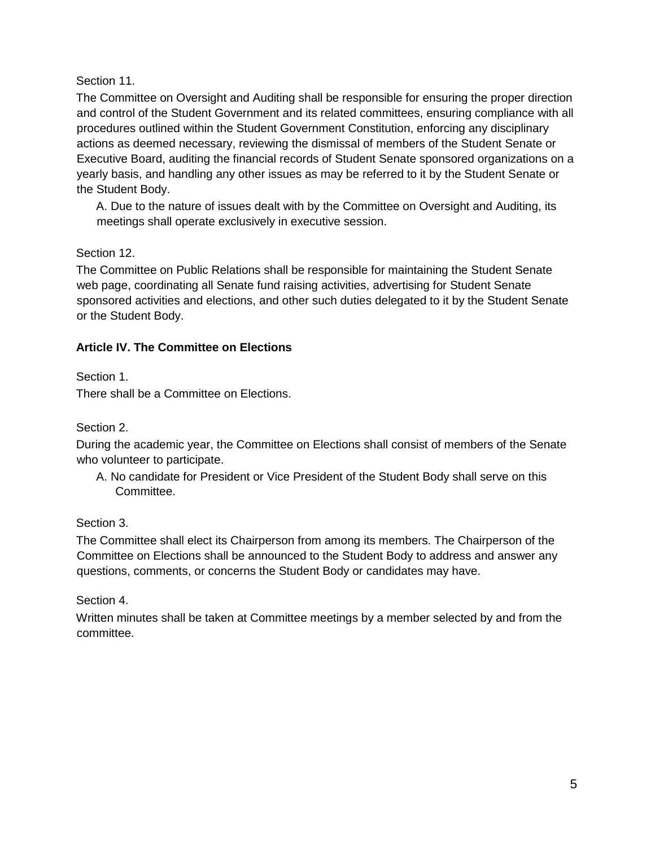## Section 11.

The Committee on Oversight and Auditing shall be responsible for ensuring the proper direction and control of the Student Government and its related committees, ensuring compliance with all procedures outlined within the Student Government Constitution, enforcing any disciplinary actions as deemed necessary, reviewing the dismissal of members of the Student Senate or Executive Board, auditing the financial records of Student Senate sponsored organizations on a yearly basis, and handling any other issues as may be referred to it by the Student Senate or the Student Body.

A. Due to the nature of issues dealt with by the Committee on Oversight and Auditing, its meetings shall operate exclusively in executive session.

#### Section 12.

The Committee on Public Relations shall be responsible for maintaining the Student Senate web page, coordinating all Senate fund raising activities, advertising for Student Senate sponsored activities and elections, and other such duties delegated to it by the Student Senate or the Student Body.

#### **Article IV. The Committee on Elections**

Section 1.

There shall be a Committee on Elections.

Section 2.

During the academic year, the Committee on Elections shall consist of members of the Senate who volunteer to participate.

A. No candidate for President or Vice President of the Student Body shall serve on this Committee.

Section 3.

The Committee shall elect its Chairperson from among its members. The Chairperson of the Committee on Elections shall be announced to the Student Body to address and answer any questions, comments, or concerns the Student Body or candidates may have.

Section 4.

Written minutes shall be taken at Committee meetings by a member selected by and from the committee.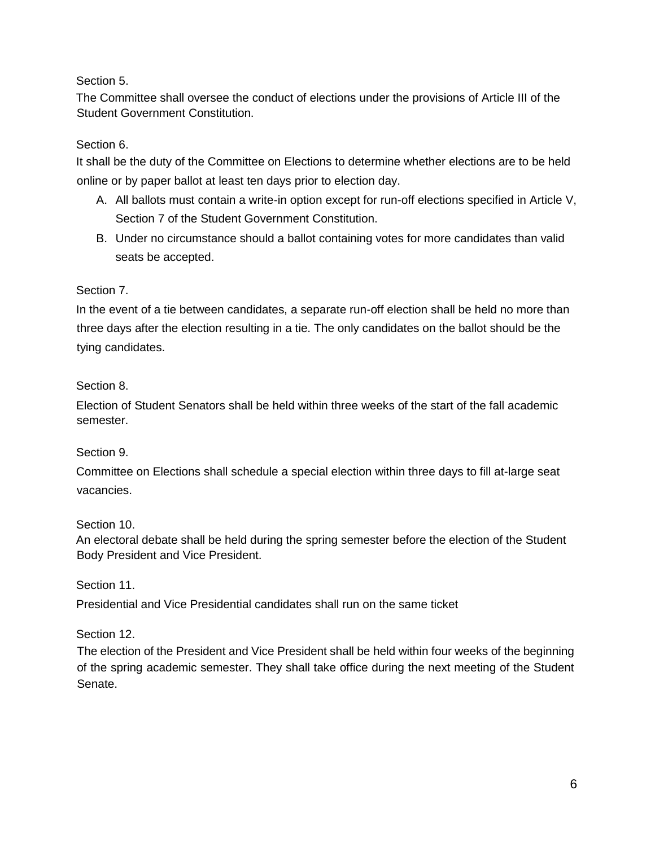The Committee shall oversee the conduct of elections under the provisions of Article III of the Student Government Constitution.

## Section 6.

It shall be the duty of the Committee on Elections to determine whether elections are to be held online or by paper ballot at least ten days prior to election day.

- A. All ballots must contain a write-in option except for run-off elections specified in Article V, Section 7 of the Student Government Constitution.
- B. Under no circumstance should a ballot containing votes for more candidates than valid seats be accepted.

## Section 7.

In the event of a tie between candidates, a separate run-off election shall be held no more than three days after the election resulting in a tie. The only candidates on the ballot should be the tying candidates.

## Section 8.

Election of Student Senators shall be held within three weeks of the start of the fall academic semester.

#### Section 9.

Committee on Elections shall schedule a special election within three days to fill at-large seat vacancies.

Section 10.

An electoral debate shall be held during the spring semester before the election of the Student Body President and Vice President.

Section 11.

Presidential and Vice Presidential candidates shall run on the same ticket

Section 12.

The election of the President and Vice President shall be held within four weeks of the beginning of the spring academic semester. They shall take office during the next meeting of the Student Senate.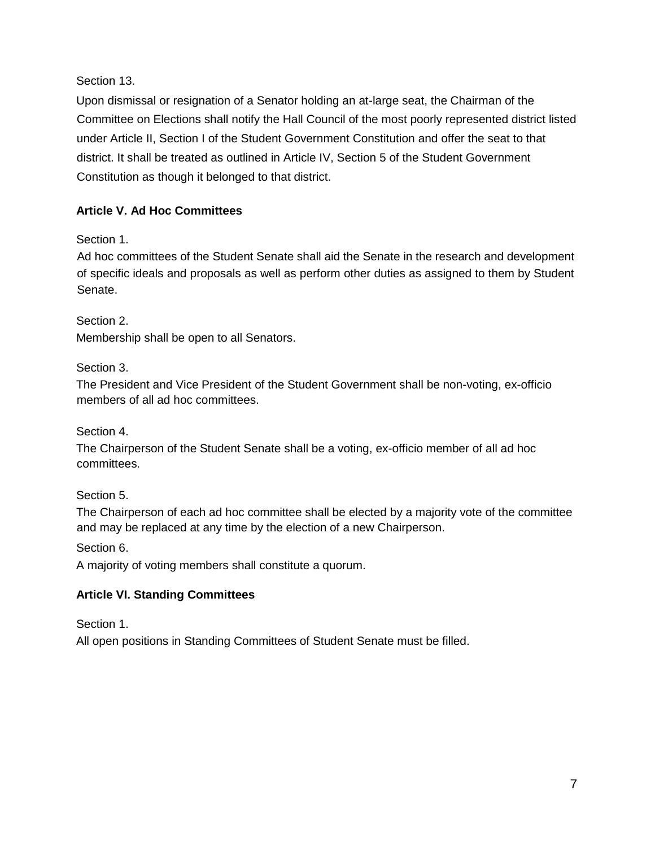## Section 13.

Upon dismissal or resignation of a Senator holding an at-large seat, the Chairman of the Committee on Elections shall notify the Hall Council of the most poorly represented district listed under Article II, Section I of the Student Government Constitution and offer the seat to that district. It shall be treated as outlined in Article IV, Section 5 of the Student Government Constitution as though it belonged to that district.

## **Article V. Ad Hoc Committees**

## Section 1.

Ad hoc committees of the Student Senate shall aid the Senate in the research and development of specific ideals and proposals as well as perform other duties as assigned to them by Student Senate.

Section 2.

Membership shall be open to all Senators.

Section 3.

The President and Vice President of the Student Government shall be non-voting, ex-officio members of all ad hoc committees.

Section 4.

The Chairperson of the Student Senate shall be a voting, ex-officio member of all ad hoc committees.

Section 5.

The Chairperson of each ad hoc committee shall be elected by a majority vote of the committee and may be replaced at any time by the election of a new Chairperson.

Section 6.

A majority of voting members shall constitute a quorum.

# **Article VI. Standing Committees**

Section 1.

All open positions in Standing Committees of Student Senate must be filled.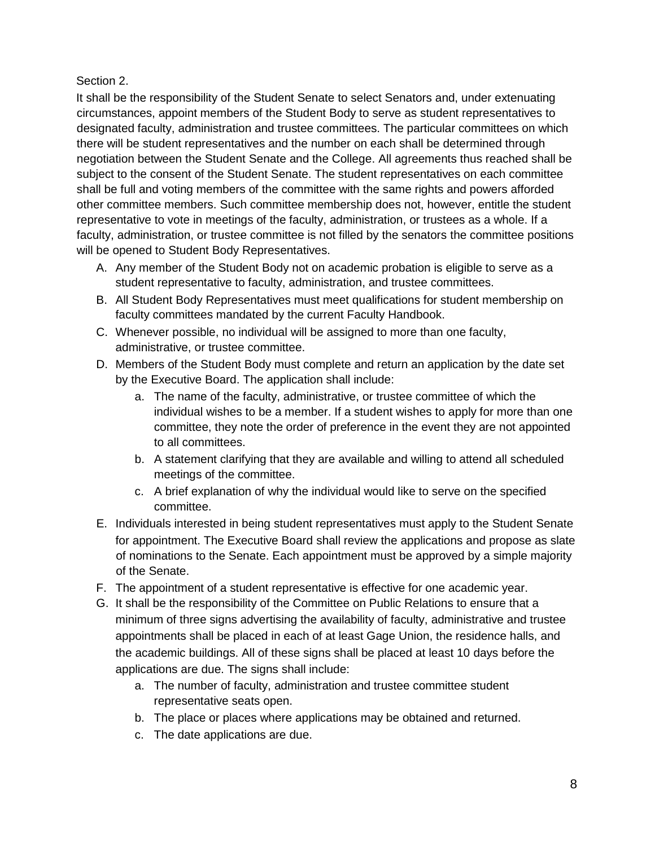#### Section 2.

It shall be the responsibility of the Student Senate to select Senators and, under extenuating circumstances, appoint members of the Student Body to serve as student representatives to designated faculty, administration and trustee committees. The particular committees on which there will be student representatives and the number on each shall be determined through negotiation between the Student Senate and the College. All agreements thus reached shall be subject to the consent of the Student Senate. The student representatives on each committee shall be full and voting members of the committee with the same rights and powers afforded other committee members. Such committee membership does not, however, entitle the student representative to vote in meetings of the faculty, administration, or trustees as a whole. If a faculty, administration, or trustee committee is not filled by the senators the committee positions will be opened to Student Body Representatives.

- A. Any member of the Student Body not on academic probation is eligible to serve as a student representative to faculty, administration, and trustee committees.
- B. All Student Body Representatives must meet qualifications for student membership on faculty committees mandated by the current Faculty Handbook.
- C. Whenever possible, no individual will be assigned to more than one faculty, administrative, or trustee committee.
- D. Members of the Student Body must complete and return an application by the date set by the Executive Board. The application shall include:
	- a. The name of the faculty, administrative, or trustee committee of which the individual wishes to be a member. If a student wishes to apply for more than one committee, they note the order of preference in the event they are not appointed to all committees.
	- b. A statement clarifying that they are available and willing to attend all scheduled meetings of the committee.
	- c. A brief explanation of why the individual would like to serve on the specified committee.
- E. Individuals interested in being student representatives must apply to the Student Senate for appointment. The Executive Board shall review the applications and propose as slate of nominations to the Senate. Each appointment must be approved by a simple majority of the Senate.
- F. The appointment of a student representative is effective for one academic year.
- G. It shall be the responsibility of the Committee on Public Relations to ensure that a minimum of three signs advertising the availability of faculty, administrative and trustee appointments shall be placed in each of at least Gage Union, the residence halls, and the academic buildings. All of these signs shall be placed at least 10 days before the applications are due. The signs shall include:
	- a. The number of faculty, administration and trustee committee student representative seats open.
	- b. The place or places where applications may be obtained and returned.
	- c. The date applications are due.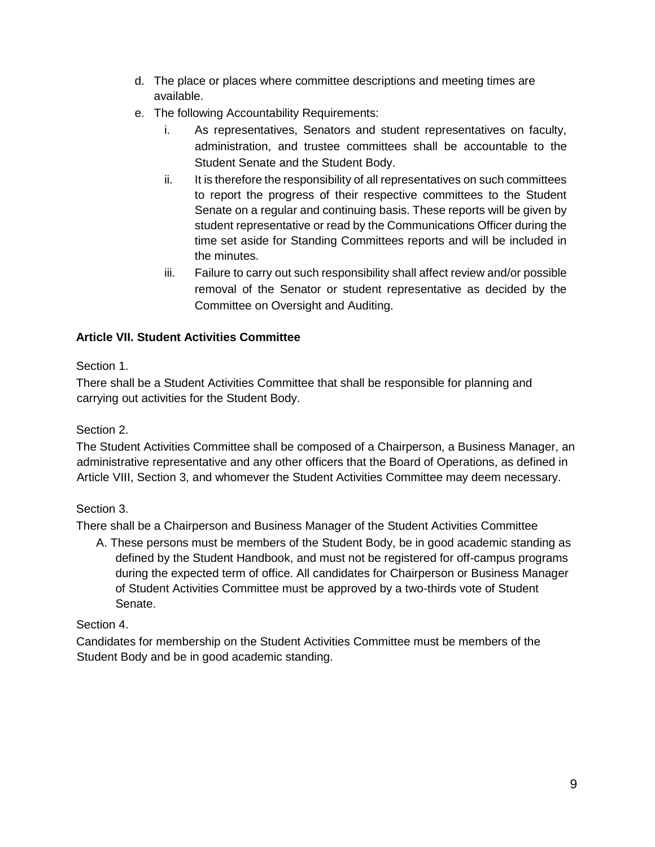- d. The place or places where committee descriptions and meeting times are available.
- e. The following Accountability Requirements:
	- i. As representatives, Senators and student representatives on faculty, administration, and trustee committees shall be accountable to the Student Senate and the Student Body.
	- ii. It is therefore the responsibility of all representatives on such committees to report the progress of their respective committees to the Student Senate on a regular and continuing basis. These reports will be given by student representative or read by the Communications Officer during the time set aside for Standing Committees reports and will be included in the minutes.
	- iii. Failure to carry out such responsibility shall affect review and/or possible removal of the Senator or student representative as decided by the Committee on Oversight and Auditing.

#### **Article VII. Student Activities Committee**

#### Section 1.

There shall be a Student Activities Committee that shall be responsible for planning and carrying out activities for the Student Body.

## Section 2.

The Student Activities Committee shall be composed of a Chairperson, a Business Manager, an administrative representative and any other officers that the Board of Operations, as defined in Article VIII, Section 3, and whomever the Student Activities Committee may deem necessary.

# Section 3.

There shall be a Chairperson and Business Manager of the Student Activities Committee

A. These persons must be members of the Student Body, be in good academic standing as defined by the Student Handbook, and must not be registered for off-campus programs during the expected term of office. All candidates for Chairperson or Business Manager of Student Activities Committee must be approved by a two-thirds vote of Student Senate.

#### Section 4.

Candidates for membership on the Student Activities Committee must be members of the Student Body and be in good academic standing.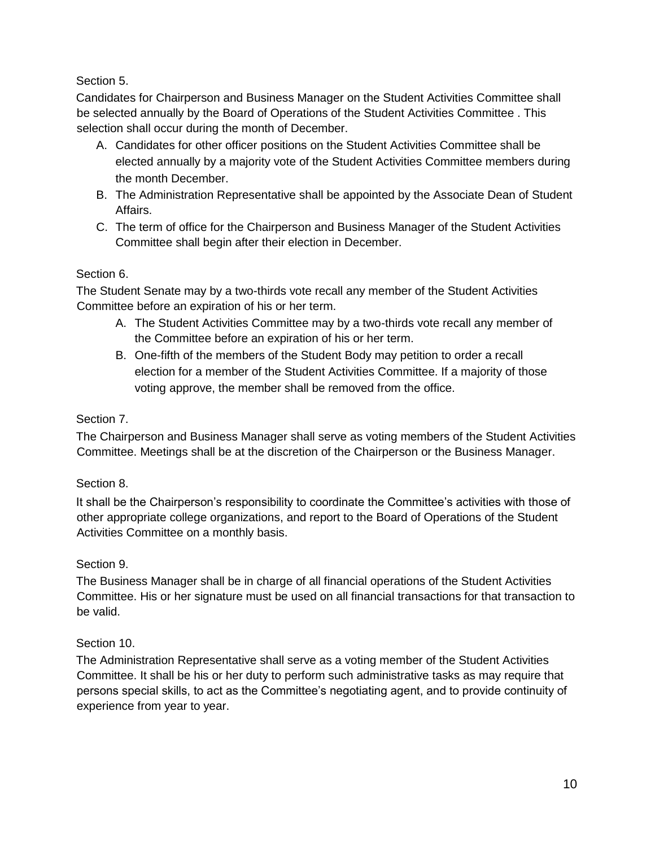Candidates for Chairperson and Business Manager on the Student Activities Committee shall be selected annually by the Board of Operations of the Student Activities Committee . This selection shall occur during the month of December.

- A. Candidates for other officer positions on the Student Activities Committee shall be elected annually by a majority vote of the Student Activities Committee members during the month December.
- B. The Administration Representative shall be appointed by the Associate Dean of Student Affairs.
- C. The term of office for the Chairperson and Business Manager of the Student Activities Committee shall begin after their election in December.

## Section 6.

The Student Senate may by a two-thirds vote recall any member of the Student Activities Committee before an expiration of his or her term.

- A. The Student Activities Committee may by a two-thirds vote recall any member of the Committee before an expiration of his or her term.
- B. One-fifth of the members of the Student Body may petition to order a recall election for a member of the Student Activities Committee. If a majority of those voting approve, the member shall be removed from the office.

## Section 7.

The Chairperson and Business Manager shall serve as voting members of the Student Activities Committee. Meetings shall be at the discretion of the Chairperson or the Business Manager.

#### Section 8.

It shall be the Chairperson's responsibility to coordinate the Committee's activities with those of other appropriate college organizations, and report to the Board of Operations of the Student Activities Committee on a monthly basis.

#### Section 9.

The Business Manager shall be in charge of all financial operations of the Student Activities Committee. His or her signature must be used on all financial transactions for that transaction to be valid.

# Section 10.

The Administration Representative shall serve as a voting member of the Student Activities Committee. It shall be his or her duty to perform such administrative tasks as may require that persons special skills, to act as the Committee's negotiating agent, and to provide continuity of experience from year to year.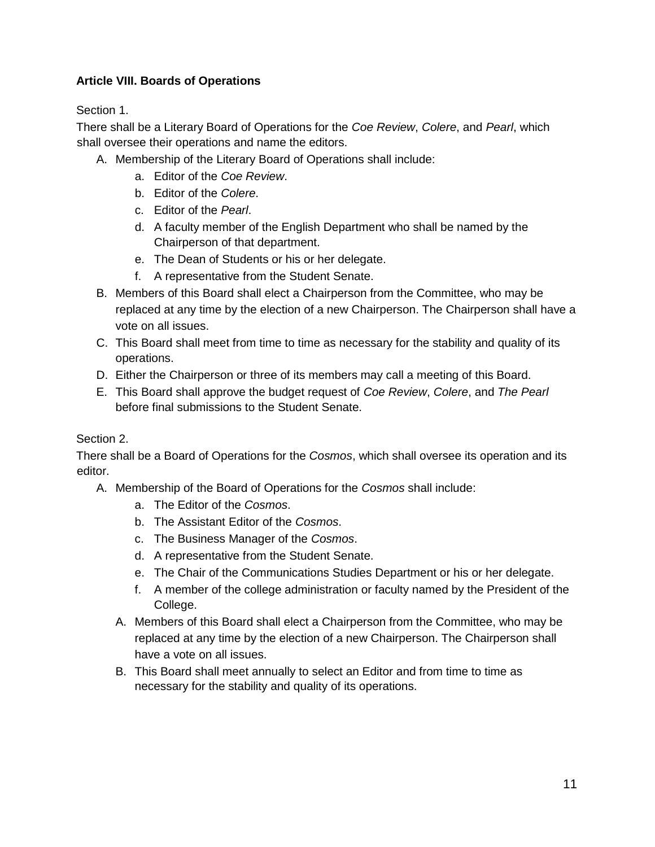## **Article VIII. Boards of Operations**

Section 1.

There shall be a Literary Board of Operations for the *Coe Review*, *Colere*, and *Pearl*, which shall oversee their operations and name the editors.

- A. Membership of the Literary Board of Operations shall include:
	- a. Editor of the *Coe Review*.
	- b. Editor of the *Colere*.
	- c. Editor of the *Pearl*.
	- d. A faculty member of the English Department who shall be named by the Chairperson of that department.
	- e. The Dean of Students or his or her delegate.
	- f. A representative from the Student Senate.
- B. Members of this Board shall elect a Chairperson from the Committee, who may be replaced at any time by the election of a new Chairperson. The Chairperson shall have a vote on all issues.
- C. This Board shall meet from time to time as necessary for the stability and quality of its operations.
- D. Either the Chairperson or three of its members may call a meeting of this Board.
- E. This Board shall approve the budget request of *Coe Review*, *Colere*, and *The Pearl*  before final submissions to the Student Senate.

# Section 2.

There shall be a Board of Operations for the *Cosmos*, which shall oversee its operation and its editor.

- A. Membership of the Board of Operations for the *Cosmos* shall include:
	- a. The Editor of the *Cosmos*.
	- b. The Assistant Editor of the *Cosmos*.
	- c. The Business Manager of the *Cosmos*.
	- d. A representative from the Student Senate.
	- e. The Chair of the Communications Studies Department or his or her delegate.
	- f. A member of the college administration or faculty named by the President of the College.
	- A. Members of this Board shall elect a Chairperson from the Committee, who may be replaced at any time by the election of a new Chairperson. The Chairperson shall have a vote on all issues.
	- B. This Board shall meet annually to select an Editor and from time to time as necessary for the stability and quality of its operations.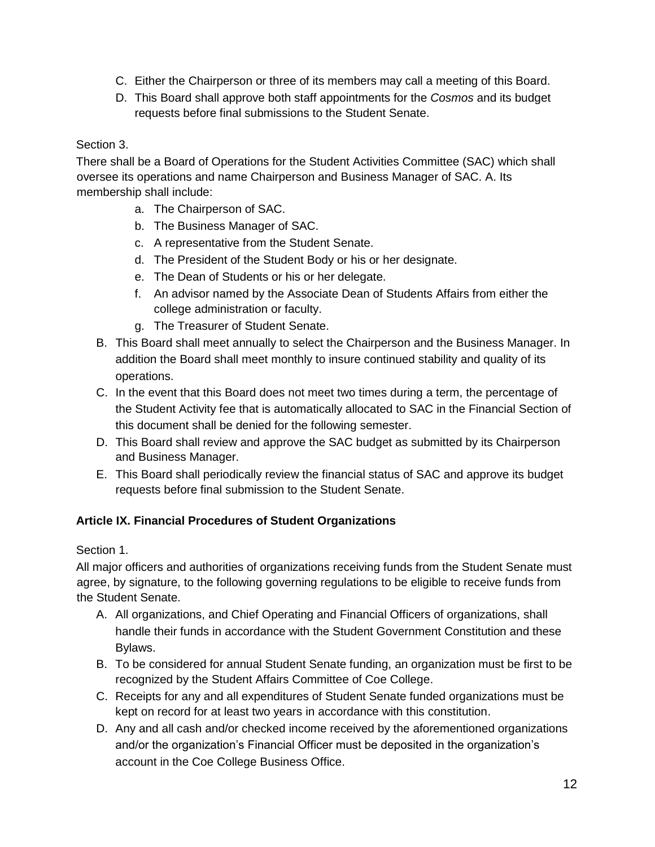- C. Either the Chairperson or three of its members may call a meeting of this Board.
- D. This Board shall approve both staff appointments for the *Cosmos* and its budget requests before final submissions to the Student Senate.

#### Section 3.

There shall be a Board of Operations for the Student Activities Committee (SAC) which shall oversee its operations and name Chairperson and Business Manager of SAC. A. Its membership shall include:

- a. The Chairperson of SAC.
- b. The Business Manager of SAC.
- c. A representative from the Student Senate.
- d. The President of the Student Body or his or her designate.
- e. The Dean of Students or his or her delegate.
- f. An advisor named by the Associate Dean of Students Affairs from either the college administration or faculty.
- g. The Treasurer of Student Senate.
- B. This Board shall meet annually to select the Chairperson and the Business Manager. In addition the Board shall meet monthly to insure continued stability and quality of its operations.
- C. In the event that this Board does not meet two times during a term, the percentage of the Student Activity fee that is automatically allocated to SAC in the Financial Section of this document shall be denied for the following semester.
- D. This Board shall review and approve the SAC budget as submitted by its Chairperson and Business Manager.
- E. This Board shall periodically review the financial status of SAC and approve its budget requests before final submission to the Student Senate.

#### **Article IX. Financial Procedures of Student Organizations**

Section 1.

All major officers and authorities of organizations receiving funds from the Student Senate must agree, by signature, to the following governing regulations to be eligible to receive funds from the Student Senate.

- A. All organizations, and Chief Operating and Financial Officers of organizations, shall handle their funds in accordance with the Student Government Constitution and these Bylaws.
- B. To be considered for annual Student Senate funding, an organization must be first to be recognized by the Student Affairs Committee of Coe College.
- C. Receipts for any and all expenditures of Student Senate funded organizations must be kept on record for at least two years in accordance with this constitution.
- D. Any and all cash and/or checked income received by the aforementioned organizations and/or the organization's Financial Officer must be deposited in the organization's account in the Coe College Business Office.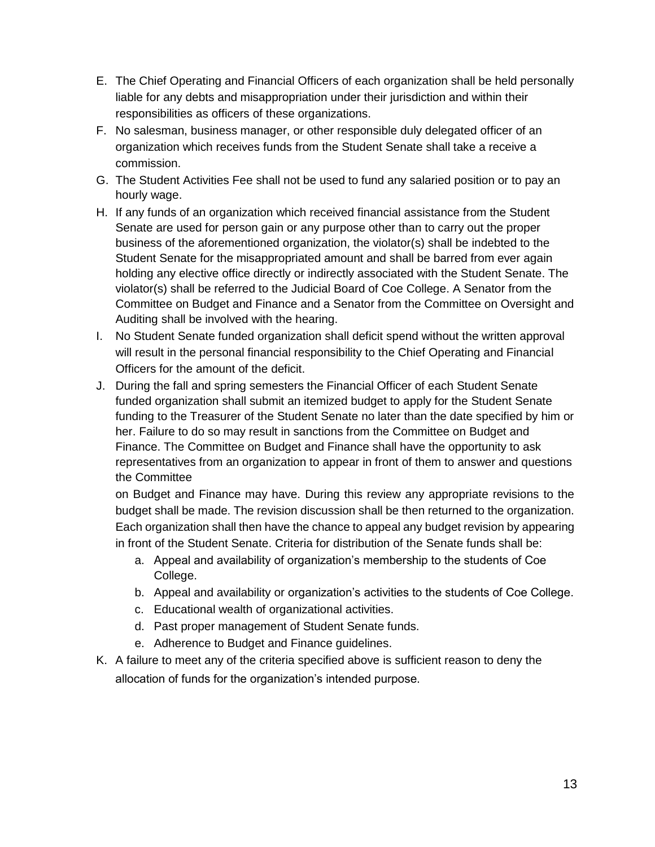- E. The Chief Operating and Financial Officers of each organization shall be held personally liable for any debts and misappropriation under their jurisdiction and within their responsibilities as officers of these organizations.
- F. No salesman, business manager, or other responsible duly delegated officer of an organization which receives funds from the Student Senate shall take a receive a commission.
- G. The Student Activities Fee shall not be used to fund any salaried position or to pay an hourly wage.
- H. If any funds of an organization which received financial assistance from the Student Senate are used for person gain or any purpose other than to carry out the proper business of the aforementioned organization, the violator(s) shall be indebted to the Student Senate for the misappropriated amount and shall be barred from ever again holding any elective office directly or indirectly associated with the Student Senate. The violator(s) shall be referred to the Judicial Board of Coe College. A Senator from the Committee on Budget and Finance and a Senator from the Committee on Oversight and Auditing shall be involved with the hearing.
- I. No Student Senate funded organization shall deficit spend without the written approval will result in the personal financial responsibility to the Chief Operating and Financial Officers for the amount of the deficit.
- J. During the fall and spring semesters the Financial Officer of each Student Senate funded organization shall submit an itemized budget to apply for the Student Senate funding to the Treasurer of the Student Senate no later than the date specified by him or her. Failure to do so may result in sanctions from the Committee on Budget and Finance. The Committee on Budget and Finance shall have the opportunity to ask representatives from an organization to appear in front of them to answer and questions the Committee

on Budget and Finance may have. During this review any appropriate revisions to the budget shall be made. The revision discussion shall be then returned to the organization. Each organization shall then have the chance to appeal any budget revision by appearing in front of the Student Senate. Criteria for distribution of the Senate funds shall be:

- a. Appeal and availability of organization's membership to the students of Coe College.
- b. Appeal and availability or organization's activities to the students of Coe College.
- c. Educational wealth of organizational activities.
- d. Past proper management of Student Senate funds.
- e. Adherence to Budget and Finance guidelines.
- K. A failure to meet any of the criteria specified above is sufficient reason to deny the allocation of funds for the organization's intended purpose.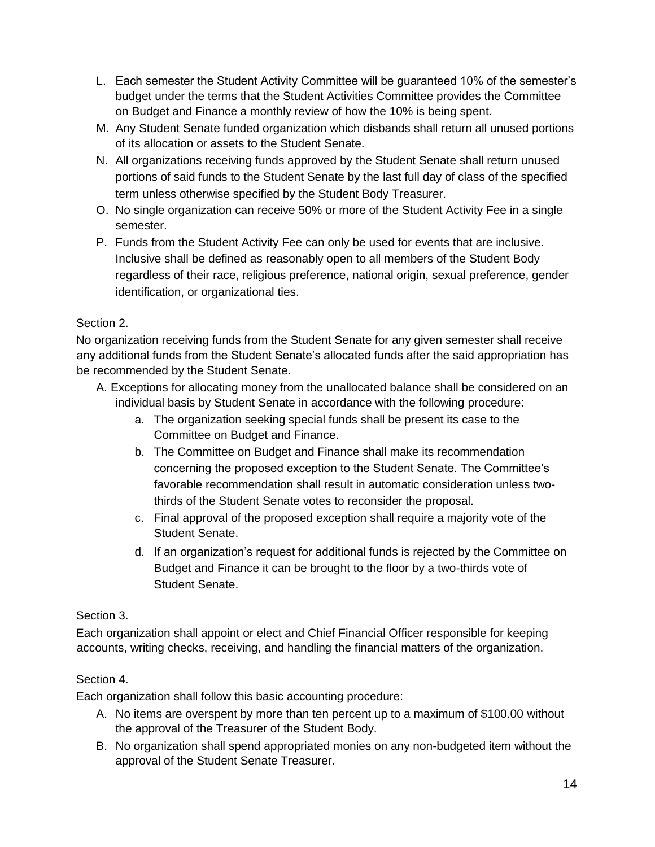- L. Each semester the Student Activity Committee will be guaranteed 10% of the semester's budget under the terms that the Student Activities Committee provides the Committee on Budget and Finance a monthly review of how the 10% is being spent.
- M. Any Student Senate funded organization which disbands shall return all unused portions of its allocation or assets to the Student Senate.
- N. All organizations receiving funds approved by the Student Senate shall return unused portions of said funds to the Student Senate by the last full day of class of the specified term unless otherwise specified by the Student Body Treasurer.
- O. No single organization can receive 50% or more of the Student Activity Fee in a single semester.
- P. Funds from the Student Activity Fee can only be used for events that are inclusive. Inclusive shall be defined as reasonably open to all members of the Student Body regardless of their race, religious preference, national origin, sexual preference, gender identification, or organizational ties.

## Section 2.

No organization receiving funds from the Student Senate for any given semester shall receive any additional funds from the Student Senate's allocated funds after the said appropriation has be recommended by the Student Senate.

- A. Exceptions for allocating money from the unallocated balance shall be considered on an individual basis by Student Senate in accordance with the following procedure:
	- a. The organization seeking special funds shall be present its case to the Committee on Budget and Finance.
	- b. The Committee on Budget and Finance shall make its recommendation concerning the proposed exception to the Student Senate. The Committee's favorable recommendation shall result in automatic consideration unless twothirds of the Student Senate votes to reconsider the proposal.
	- c. Final approval of the proposed exception shall require a majority vote of the Student Senate.
	- d. If an organization's request for additional funds is rejected by the Committee on Budget and Finance it can be brought to the floor by a two-thirds vote of Student Senate.

# Section 3.

Each organization shall appoint or elect and Chief Financial Officer responsible for keeping accounts, writing checks, receiving, and handling the financial matters of the organization.

# Section 4.

Each organization shall follow this basic accounting procedure:

- A. No items are overspent by more than ten percent up to a maximum of \$100.00 without the approval of the Treasurer of the Student Body.
- B. No organization shall spend appropriated monies on any non-budgeted item without the approval of the Student Senate Treasurer.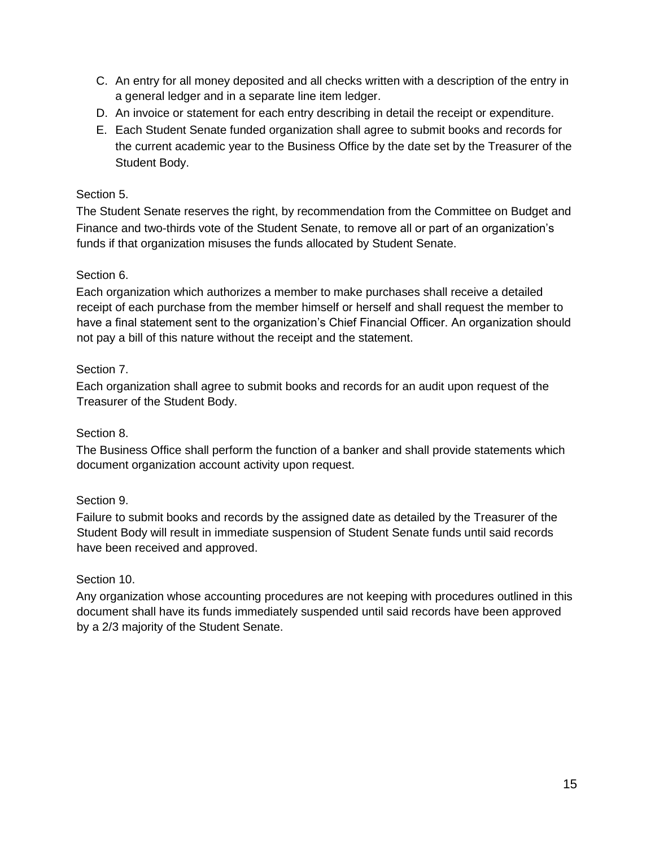- C. An entry for all money deposited and all checks written with a description of the entry in a general ledger and in a separate line item ledger.
- D. An invoice or statement for each entry describing in detail the receipt or expenditure.
- E. Each Student Senate funded organization shall agree to submit books and records for the current academic year to the Business Office by the date set by the Treasurer of the Student Body.

The Student Senate reserves the right, by recommendation from the Committee on Budget and Finance and two-thirds vote of the Student Senate, to remove all or part of an organization's funds if that organization misuses the funds allocated by Student Senate.

#### Section 6.

Each organization which authorizes a member to make purchases shall receive a detailed receipt of each purchase from the member himself or herself and shall request the member to have a final statement sent to the organization's Chief Financial Officer. An organization should not pay a bill of this nature without the receipt and the statement.

#### Section 7.

Each organization shall agree to submit books and records for an audit upon request of the Treasurer of the Student Body.

#### Section 8.

The Business Office shall perform the function of a banker and shall provide statements which document organization account activity upon request.

#### Section 9.

Failure to submit books and records by the assigned date as detailed by the Treasurer of the Student Body will result in immediate suspension of Student Senate funds until said records have been received and approved.

#### Section 10.

Any organization whose accounting procedures are not keeping with procedures outlined in this document shall have its funds immediately suspended until said records have been approved by a 2/3 majority of the Student Senate.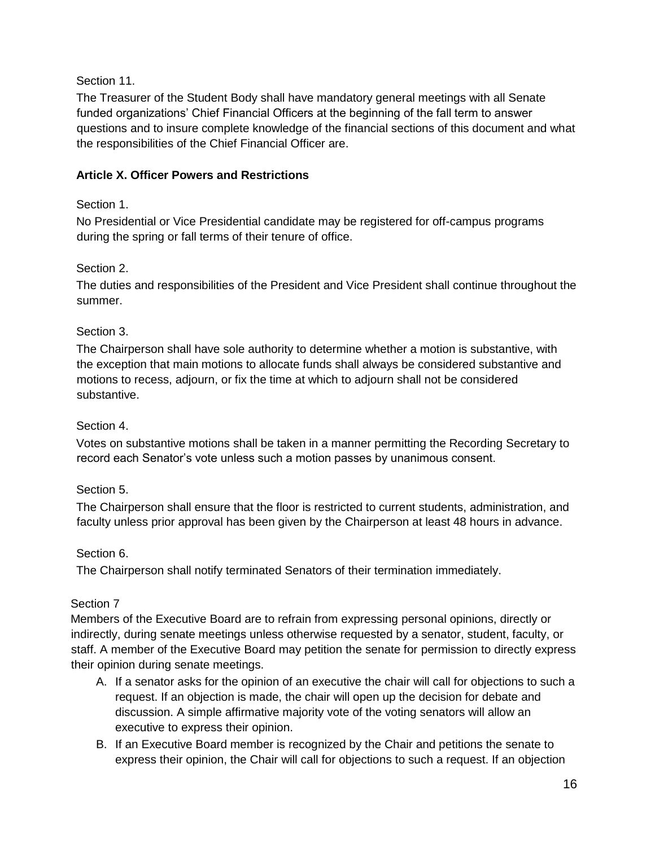## Section 11.

The Treasurer of the Student Body shall have mandatory general meetings with all Senate funded organizations' Chief Financial Officers at the beginning of the fall term to answer questions and to insure complete knowledge of the financial sections of this document and what the responsibilities of the Chief Financial Officer are.

## **Article X. Officer Powers and Restrictions**

## Section 1.

No Presidential or Vice Presidential candidate may be registered for off-campus programs during the spring or fall terms of their tenure of office.

## Section 2.

The duties and responsibilities of the President and Vice President shall continue throughout the summer.

## Section 3.

The Chairperson shall have sole authority to determine whether a motion is substantive, with the exception that main motions to allocate funds shall always be considered substantive and motions to recess, adjourn, or fix the time at which to adjourn shall not be considered substantive.

#### Section 4.

Votes on substantive motions shall be taken in a manner permitting the Recording Secretary to record each Senator's vote unless such a motion passes by unanimous consent.

# Section 5.

The Chairperson shall ensure that the floor is restricted to current students, administration, and faculty unless prior approval has been given by the Chairperson at least 48 hours in advance.

#### Section 6.

The Chairperson shall notify terminated Senators of their termination immediately.

# Section 7

Members of the Executive Board are to refrain from expressing personal opinions, directly or indirectly, during senate meetings unless otherwise requested by a senator, student, faculty, or staff. A member of the Executive Board may petition the senate for permission to directly express their opinion during senate meetings.

- A. If a senator asks for the opinion of an executive the chair will call for objections to such a request. If an objection is made, the chair will open up the decision for debate and discussion. A simple affirmative majority vote of the voting senators will allow an executive to express their opinion.
- B. If an Executive Board member is recognized by the Chair and petitions the senate to express their opinion, the Chair will call for objections to such a request. If an objection